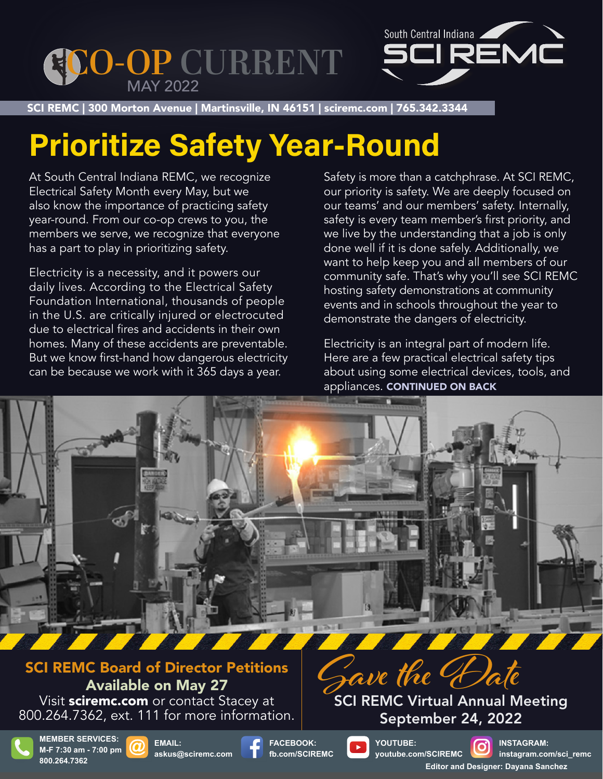



SCI REMC | 300 Morton Avenue | Martinsville, IN 46151 | sciremc.com | 765.342.3344 SCI REMC | 300 Morton Avenue | Martinsville, IN 46151 | sciremc.com | 765.342.3344

## **Prioritize Safety Year-Round**

At South Central Indiana REMC, we recognize Electrical Safety Month every May, but we also know the importance of practicing safety year-round. From our co-op crews to you, the members we serve, we recognize that everyone has a part to play in prioritizing safety.

Electricity is a necessity, and it powers our daily lives. According to the Electrical Safety Foundation International, thousands of people in the U.S. are critically injured or electrocuted due to electrical fires and accidents in their own homes. Many of these accidents are preventable. But we know first-hand how dangerous electricity can be because we work with it 365 days a year.

Safety is more than a catchphrase. At SCI REMC, our priority is safety. We are deeply focused on our teams' and our members' safety. Internally, safety is every team member's first priority, and we live by the understanding that a job is only done well if it is done safely. Additionally, we want to help keep you and all members of our community safe. That's why you'll see SCI REMC hosting safety demonstrations at community events and in schools throughout the year to demonstrate the dangers of electricity.

Electricity is an integral part of modern life. Here are a few practical electrical safety tips about using some electrical devices, tools, and appliances. CONTINUED ON BACK

SCI REMC Board of Director Petitions Available on May 27

Visit sciremc.com or contact Stacey at 800.264.7362, ext. 111 for more information.



September 24, 2022



**MEMBER SERVICES: M-F 7:30 am - 7:00 pm 800.264.7362**





**FACEBOOK: fb.com/SCIREMC**



**YOUTUBE: youtube.com/SCIREMC**

**INSTAGRAM: instagram.com/sci\_remc Editor and Designer: Dayana Sanchez**